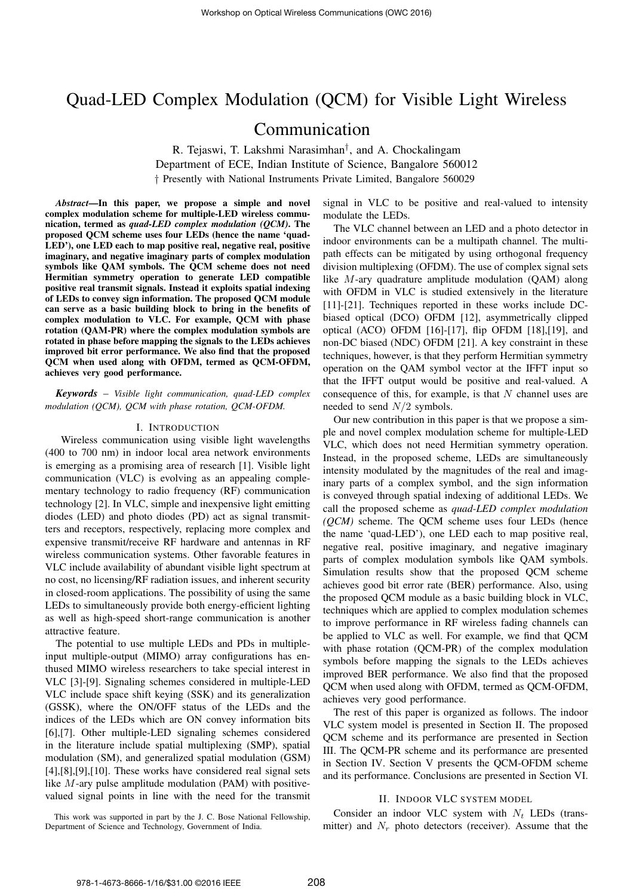# Quad-LED Complex Modulation (QCM) for Visible Light Wireless

# Communication

R. Tejaswi, T. Lakshmi Narasimhan† , and A. Chockalingam Department of ECE, Indian Institute of Science, Bangalore 560012 † Presently with National Instruments Private Limited, Bangalore 560029

*Abstract*—In this paper, we propose a simple and novel complex modulation scheme for multiple-LED wireless communication, termed as *quad-LED complex modulation (QCM)*. The proposed QCM scheme uses four LEDs (hence the name 'quad-LED'), one LED each to map positive real, negative real, positive imaginary, and negative imaginary parts of complex modulation symbols like QAM symbols. The QCM scheme does not need Hermitian symmetry operation to generate LED compatible positive real transmit signals. Instead it exploits spatial indexing of LEDs to convey sign information. The proposed QCM module can serve as a basic building block to bring in the benefits of complex modulation to VLC. For example, QCM with phase rotation (QAM-PR) where the complex modulation symbols are rotated in phase before mapping the signals to the LEDs achieves improved bit error performance. We also find that the proposed QCM when used along with OFDM, termed as QCM-OFDM, achieves very good performance.

*Keywords* – *Visible light communication, quad-LED complex modulation (QCM), QCM with phase rotation, QCM-OFDM.*

#### I. INTRODUCTION

Wireless communication using visible light wavelengths (400 to 700 nm) in indoor local area network environments is emerging as a promising area of research [1]. Visible light communication (VLC) is evolving as an appealing complementary technology to radio frequency (RF) communication technology [2]. In VLC, simple and inexpensive light emitting diodes (LED) and photo diodes (PD) act as signal transmitters and receptors, respectively, replacing more complex and expensive transmit/receive RF hardware and antennas in RF wireless communication systems. Other favorable features in VLC include availability of abundant visible light spectrum at no cost, no licensing/RF radiation issues, and inherent security in closed-room applications. The possibility of using the same LEDs to simultaneously provide both energy-efficient lighting as well as high-speed short-range communication is another attractive feature.

The potential to use multiple LEDs and PDs in multipleinput multiple-output (MIMO) array configurations has enthused MIMO wireless researchers to take special interest in VLC [3]-[9]. Signaling schemes considered in multiple-LED VLC include space shift keying (SSK) and its generalization (GSSK), where the ON/OFF status of the LEDs and the indices of the LEDs which are ON convey information bits [6],[7]. Other multiple-LED signaling schemes considered in the literature include spatial multiplexing (SMP), spatial modulation (SM), and generalized spatial modulation (GSM) [4],[8],[9],[10]. These works have considered real signal sets like M-ary pulse amplitude modulation (PAM) with positivevalued signal points in line with the need for the transmit

signal in VLC to be positive and real-valued to intensity modulate the LEDs.

The VLC channel between an LED and a photo detector in indoor environments can be a multipath channel. The multipath effects can be mitigated by using orthogonal frequency division multiplexing (OFDM). The use of complex signal sets like M-ary quadrature amplitude modulation (QAM) along with OFDM in VLC is studied extensively in the literature [11]-[21]. Techniques reported in these works include DCbiased optical (DCO) OFDM [12], asymmetrically clipped optical (ACO) OFDM [16]-[17], flip OFDM [18],[19], and non-DC biased (NDC) OFDM [21]. A key constraint in these techniques, however, is that they perform Hermitian symmetry operation on the QAM symbol vector at the IFFT input so that the IFFT output would be positive and real-valued. A consequence of this, for example, is that  $N$  channel uses are needed to send  $N/2$  symbols.

Our new contribution in this paper is that we propose a simple and novel complex modulation scheme for multiple-LED VLC, which does not need Hermitian symmetry operation. Instead, in the proposed scheme, LEDs are simultaneously intensity modulated by the magnitudes of the real and imaginary parts of a complex symbol, and the sign information is conveyed through spatial indexing of additional LEDs. We call the proposed scheme as *quad-LED complex modulation (QCM)* scheme. The QCM scheme uses four LEDs (hence the name 'quad-LED'), one LED each to map positive real, negative real, positive imaginary, and negative imaginary parts of complex modulation symbols like QAM symbols. Simulation results show that the proposed QCM scheme achieves good bit error rate (BER) performance. Also, using the proposed QCM module as a basic building block in VLC, techniques which are applied to complex modulation schemes to improve performance in RF wireless fading channels can be applied to VLC as well. For example, we find that QCM with phase rotation (QCM-PR) of the complex modulation symbols before mapping the signals to the LEDs achieves improved BER performance. We also find that the proposed QCM when used along with OFDM, termed as QCM-OFDM, achieves very good performance.

The rest of this paper is organized as follows. The indoor VLC system model is presented in Section II. The proposed QCM scheme and its performance are presented in Section III. The QCM-PR scheme and its performance are presented in Section IV. Section V presents the QCM-OFDM scheme and its performance. Conclusions are presented in Section VI.

## II. INDOOR VLC SYSTEM MODEL

This work was supported in part by the J. C. Bose National Fellowship, Department of Science and Technology, Government of India.

Consider an indoor VLC system with  $N_t$  LEDs (transmitter) and  $N_r$  photo detectors (receiver). Assume that the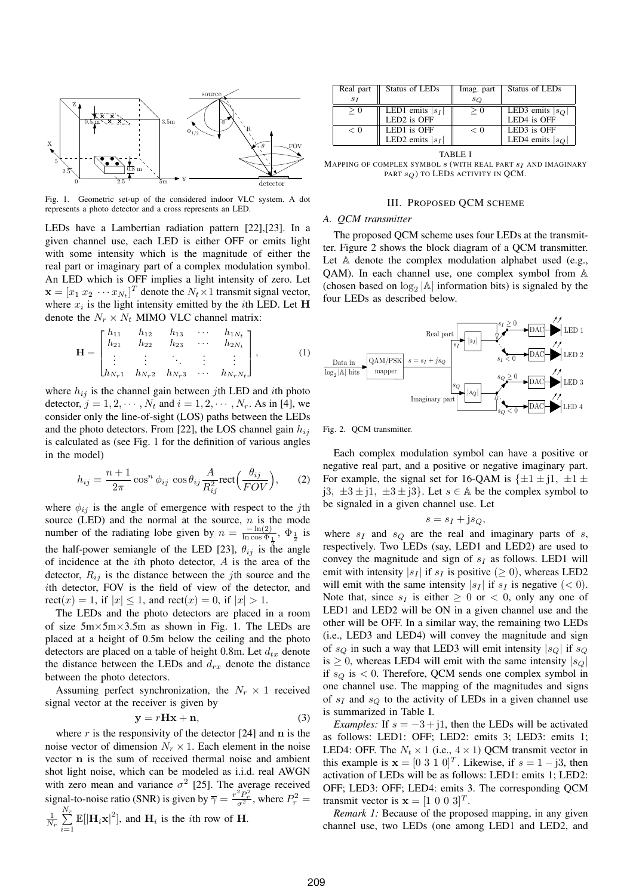

Fig. 1. Geometric set-up of the considered indoor VLC system. A dot represents a photo detector and a cross represents an LED.

LEDs have a Lambertian radiation pattern [22],[23]. In a given channel use, each LED is either OFF or emits light with some intensity which is the magnitude of either the real part or imaginary part of a complex modulation symbol. An LED which is OFF implies a light intensity of zero. Let  $\mathbf{x} = [x_1 \ x_2 \ \cdots \ x_{N_t}]^T$  denote the  $N_t \times 1$  transmit signal vector, where  $x_i$  is the light intensity emitted by the *i*th LED. Let **H** denote the  $N_r \times N_t$  MIMO VLC channel matrix:

$$
\mathbf{H} = \begin{bmatrix} h_{11} & h_{12} & h_{13} & \cdots & h_{1N_t} \\ h_{21} & h_{22} & h_{23} & \cdots & h_{2N_t} \\ \vdots & \vdots & \ddots & \vdots & \vdots \\ h_{N_r 1} & h_{N_r 2} & h_{N_r 3} & \cdots & h_{N_r N_t} \end{bmatrix},
$$
 (1)

where  $h_{ij}$  is the channel gain between jth LED and ith photo detector,  $j = 1, 2, \cdots, N_t$  and  $i = 1, 2, \cdots, N_r$ . As in [4], we consider only the line-of-sight (LOS) paths between the LEDs and the photo detectors. From [22], the LOS channel gain  $h_{ij}$ is calculated as (see Fig. 1 for the definition of various angles in the model)

$$
h_{ij} = \frac{n+1}{2\pi} \cos^n \phi_{ij} \cos \theta_{ij} \frac{A}{R_{ij}^2} \text{rect}\Big(\frac{\theta_{ij}}{FOV}\Big), \qquad (2)
$$

where  $\phi_{ij}$  is the angle of emergence with respect to the jth source (LED) and the normal at the source,  $n$  is the mode number of the radiating lobe given by  $n = \frac{-\ln(2)}{\ln \cos \Phi}$ .  $\frac{-\ln(2)}{\ln \cos \Phi_{\frac{1}{2}}}, \Phi_{\frac{1}{2}}$  is the half-power semiangle of the LED [23],  $\theta_{ij}$  is the angle of incidence at the ith photo detector, A is the area of the detector,  $R_{ij}$  is the distance between the jth source and the ith detector, FOV is the field of view of the detector, and  $rect(x) = 1$ , if  $|x| < 1$ , and  $rect(x) = 0$ , if  $|x| > 1$ .

The LEDs and the photo detectors are placed in a room of size 5m×5m×3.5m as shown in Fig. 1. The LEDs are placed at a height of 0.5m below the ceiling and the photo detectors are placed on a table of height 0.8m. Let  $d_{tx}$  denote the distance between the LEDs and  $d_{rx}$  denote the distance between the photo detectors.

Assuming perfect synchronization, the  $N_r \times 1$  received signal vector at the receiver is given by

$$
y = rHx + n,\t\t(3)
$$

where  $r$  is the responsivity of the detector [24] and  $n$  is the noise vector of dimension  $N_r \times 1$ . Each element in the noise vector n is the sum of received thermal noise and ambient shot light noise, which can be modeled as i.i.d. real AWGN with zero mean and variance  $\sigma^2$  [25]. The average received signal-to-noise ratio (SNR) is given by  $\overline{\gamma} = \frac{r^2 P_r^2}{\sigma^2}$ , where  $P_r^2 =$  $\frac{1}{N_r}$  $\sum_{r=1}^{N_r}$  $\sum_{i=1}^{N_r} \mathbb{E}[|\mathbf{H}_i \mathbf{x}|^2]$ , and  $\mathbf{H}_i$  is the *i*th row of **H**.

| Real part | Status of LEDs     | Imag. part | Status of LEDs     |
|-----------|--------------------|------------|--------------------|
| $S_I$     |                    | $s_Q$      |                    |
| $\geq 0$  | LED1 emits $ s_I $ | > 0        | LED3 emits $ s_Q $ |
|           | LED2 is OFF        |            | LED4 is OFF        |
| < 0       | LED1 is OFF        | $\lt$ ()   | LED3 is OFF        |
|           | LED2 emits $ s_I $ |            | LED4 emits $ s_O $ |

TABLE I MAPPING OF COMPLEX SYMBOL  $s$  (with real part  $s_I$  and imaginary PART  $s_Q$ ) TO LEDS ACTIVITY IN QCM.

#### III. PROPOSED QCM SCHEME

# *A. QCM transmitter*

The proposed QCM scheme uses four LEDs at the transmitter. Figure 2 shows the block diagram of a QCM transmitter. Let A denote the complex modulation alphabet used (e.g., QAM). In each channel use, one complex symbol from A (chosen based on  $\log_2 |\mathbb{A}|$  information bits) is signaled by the four LEDs as described below.



Fig. 2. QCM transmitter.

Each complex modulation symbol can have a positive or negative real part, and a positive or negative imaginary part. For example, the signal set for 16-QAM is  $\{\pm 1 \pm i, \pm 1 \pm i\}$ j3,  $\pm 3 \pm i1$ ,  $\pm 3 \pm i3$ . Let  $s \in A$  be the complex symbol to be signaled in a given channel use. Let

$$
s = s_I + j s_Q,
$$

where  $s_I$  and  $s_O$  are the real and imaginary parts of s, respectively. Two LEDs (say, LED1 and LED2) are used to convey the magnitude and sign of  $s_I$  as follows. LED1 will emit with intensity  $|s_I|$  if  $s_I$  is positive ( $\geq 0$ ), whereas LED2 will emit with the same intensity  $|s_I|$  if  $s_I$  is negative  $(< 0)$ . Note that, since  $s_I$  is either  $\geq 0$  or  $\lt 0$ , only any one of LED1 and LED2 will be ON in a given channel use and the other will be OFF. In a similar way, the remaining two LEDs (i.e., LED3 and LED4) will convey the magnitude and sign of  $s_Q$  in such a way that LED3 will emit intensity  $|s_Q|$  if  $s_Q$ is  $\geq$  0, whereas LED4 will emit with the same intensity  $|s_Q|$ if  $s_Q$  is  $\lt 0$ . Therefore, QCM sends one complex symbol in one channel use. The mapping of the magnitudes and signs of  $s_I$  and  $s_Q$  to the activity of LEDs in a given channel use is summarized in Table I.

*Examples:* If  $s = -3 + j1$ , then the LEDs will be activated as follows: LED1: OFF; LED2: emits 3; LED3: emits 1; LED4: OFF. The  $N_t \times 1$  (i.e.,  $4 \times 1$ ) QCM transmit vector in this example is  $\mathbf{x} = \begin{bmatrix} 0 & 3 & 1 & 0 \end{bmatrix}^T$ . Likewise, if  $s = 1 - j3$ , then activation of LEDs will be as follows: LED1: emits 1; LED2: OFF; LED3: OFF; LED4: emits 3. The corresponding QCM transmit vector is  $\mathbf{x} = \begin{bmatrix} 1 & 0 & 0 & 3 \end{bmatrix}^T$ .

*Remark 1:* Because of the proposed mapping, in any given channel use, two LEDs (one among LED1 and LED2, and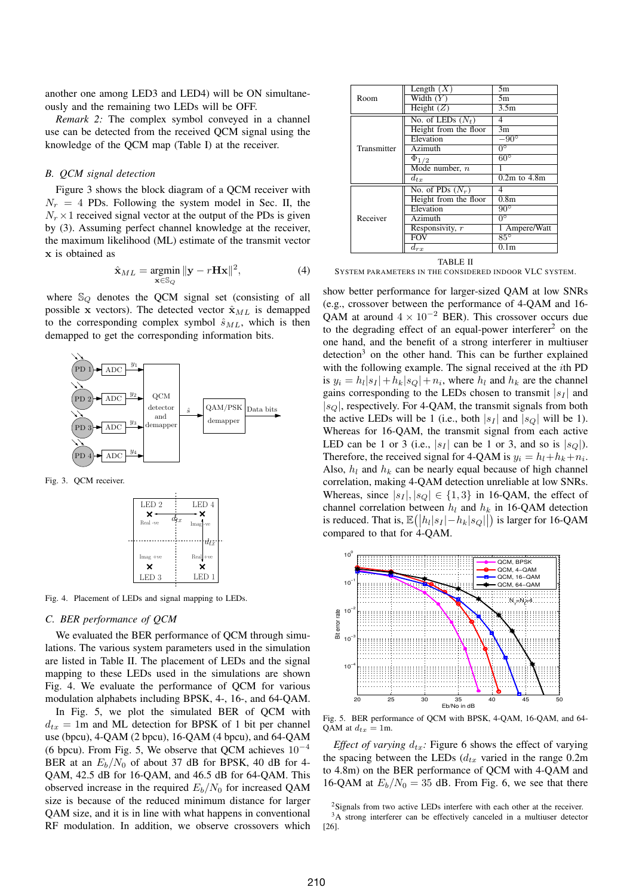another one among LED3 and LED4) will be ON simultaneously and the remaining two LEDs will be OFF.

*Remark 2:* The complex symbol conveyed in a channel use can be detected from the received QCM signal using the knowledge of the QCM map (Table I) at the receiver.

# *B. QCM signal detection*

Figure 3 shows the block diagram of a QCM receiver with  $N_r = 4$  PDs. Following the system model in Sec. II, the  $N_r \times 1$  received signal vector at the output of the PDs is given by (3). Assuming perfect channel knowledge at the receiver, the maximum likelihood (ML) estimate of the transmit vector x is obtained as

$$
\hat{\mathbf{x}}_{ML} = \underset{\mathbf{x} \in \mathbb{S}_Q}{\text{argmin}} \|\mathbf{y} - r\mathbf{H}\mathbf{x}\|^2,\tag{4}
$$

where  $\mathbb{S}_{Q}$  denotes the QCM signal set (consisting of all possible x vectors). The detected vector  $\hat{\mathbf{x}}_{ML}$  is demapped to the corresponding complex symbol  $\hat{s}_{ML}$ , which is then demapped to get the corresponding information bits.



Fig. 3. QCM receiver.



Fig. 4. Placement of LEDs and signal mapping to LEDs.

### *C. BER performance of QCM*

We evaluated the BER performance of QCM through simulations. The various system parameters used in the simulation are listed in Table II. The placement of LEDs and the signal mapping to these LEDs used in the simulations are shown Fig. 4. We evaluate the performance of QCM for various modulation alphabets including BPSK, 4-, 16-, and 64-QAM. In Fig. 5, we plot the simulated BER of QCM with  $d_{tx} = 1$ m and ML detection for BPSK of 1 bit per channel use (bpcu), 4-QAM (2 bpcu), 16-QAM (4 bpcu), and 64-QAM (6 bpcu). From Fig. 5, We observe that QCM achieves  $10^{-4}$ BER at an  $E_b/N_0$  of about 37 dB for BPSK, 40 dB for 4-QAM, 42.5 dB for 16-QAM, and 46.5 dB for 64-QAM. This observed increase in the required  $E_b/N_0$  for increased QAM size is because of the reduced minimum distance for larger QAM size, and it is in line with what happens in conventional RF modulation. In addition, we observe crossovers which

| Room<br>Transmitter | Length $(X)$          | 5m               |
|---------------------|-----------------------|------------------|
|                     | Width $(Y)$           | 5m               |
|                     | Height $(Z)$          | 3.5 <sub>m</sub> |
|                     | No. of LEDs $(N_t)$   | 4                |
|                     | Height from the floor | 3m               |
|                     | Elevation             | $-90^{\circ}$    |
|                     | $\overline{Azimuth}$  | $0^{\circ}$      |
|                     | $\Phi_{1/2}$          | $60^{\circ}$     |
|                     | Mode number, $n$      |                  |
|                     | $d_{tx}$              | $0.2m$ to $4.8m$ |
| Receiver            | No. of PDs $(N_r)$    | 4                |
|                     | Height from the floor | 0.8 <sub>m</sub> |
|                     | Elevation             | $90^{\circ}$     |
|                     | Azimuth               | $0^{\circ}$      |
|                     | Responsivity, $r$     | 1 Ampere/Watt    |
|                     | <b>FOV</b>            | $85^\circ$       |
|                     | $d_{rx}$              | 0.1m             |

TABLE II SYSTEM PARAMETERS IN THE CONSIDERED INDOOR VLC SYSTEM.

show better performance for larger-sized QAM at low SNRs (e.g., crossover between the performance of 4-QAM and 16- QAM at around  $4 \times 10^{-2}$  BER). This crossover occurs due to the degrading effect of an equal-power interferer<sup>2</sup> on the one hand, and the benefit of a strong interferer in multiuser detection<sup>3</sup> on the other hand. This can be further explained with the following example. The signal received at the *i*th PD is  $y_i = h_l |s_l| + h_k |s_Q| + n_i$ , where  $h_l$  and  $h_k$  are the channel gains corresponding to the LEDs chosen to transmit  $|s_I|$  and  $|s_Q|$ , respectively. For 4-QAM, the transmit signals from both the active LEDs will be 1 (i.e., both  $|s_I|$  and  $|s_O|$  will be 1). Whereas for 16-QAM, the transmit signal from each active LED can be 1 or 3 (i.e.,  $|s_I|$  can be 1 or 3, and so is  $|s_O|$ ). Therefore, the received signal for 4-QAM is  $y_i = h_l + h_k + n_i$ . Also,  $h_l$  and  $h_k$  can be nearly equal because of high channel correlation, making 4-QAM detection unreliable at low SNRs. Whereas, since  $|s_I|, |s_O| \in \{1, 3\}$  in 16-QAM, the effect of channel correlation between  $h_l$  and  $h_k$  in 16-QAM detection is reduced. That is,  $\mathbb{E}(|h_l|s_l|-h_k|s_Q||)$  is larger for 16-QAM compared to that for 4-QAM.



Fig. 5. BER performance of QCM with BPSK, 4-QAM, 16-QAM, and 64- QAM at  $d_{tx} = 1$ m.

*Effect of varying*  $d_{tx}$ : Figure 6 shows the effect of varying the spacing between the LEDs  $(d_{tx}$  varied in the range 0.2m to 4.8m) on the BER performance of QCM with 4-QAM and 16-QAM at  $E_b/N_0 = 35$  dB. From Fig. 6, we see that there

<sup>2</sup>Signals from two active LEDs interfere with each other at the receiver.

<sup>&</sup>lt;sup>3</sup>A strong interferer can be effectively canceled in a multiuser detector [26].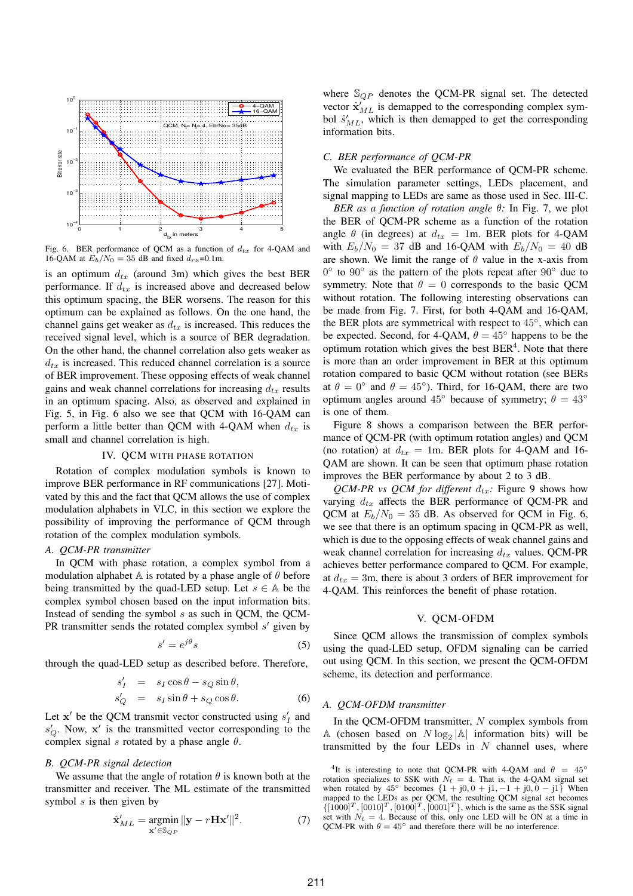

Fig. 6. BER performance of QCM as a function of  $d_{tx}$  for 4-QAM and 16-QAM at  $E_b/N_0 = 35$  dB and fixed  $d_{rx}$ =0.1m.

is an optimum  $d_{tx}$  (around 3m) which gives the best BER performance. If  $d_{tx}$  is increased above and decreased below this optimum spacing, the BER worsens. The reason for this optimum can be explained as follows. On the one hand, the channel gains get weaker as  $d_{tx}$  is increased. This reduces the received signal level, which is a source of BER degradation. On the other hand, the channel correlation also gets weaker as  $d_{tx}$  is increased. This reduced channel correlation is a source of BER improvement. These opposing effects of weak channel gains and weak channel correlations for increasing  $d_{tx}$  results in an optimum spacing. Also, as observed and explained in Fig. 5, in Fig. 6 also we see that QCM with 16-QAM can perform a little better than QCM with 4-QAM when  $d_{tx}$  is small and channel correlation is high.

# IV. QCM WITH PHASE ROTATION

Rotation of complex modulation symbols is known to improve BER performance in RF communications [27]. Motivated by this and the fact that QCM allows the use of complex modulation alphabets in VLC, in this section we explore the possibility of improving the performance of QCM through rotation of the complex modulation symbols.

#### *A. QCM-PR transmitter*

In QCM with phase rotation, a complex symbol from a modulation alphabet A is rotated by a phase angle of  $\theta$  before being transmitted by the quad-LED setup. Let  $s \in A$  be the complex symbol chosen based on the input information bits. Instead of sending the symbol s as such in QCM, the QCM-PR transmitter sends the rotated complex symbol  $s'$  given by

$$
s' = e^{j\theta}s\tag{5}
$$

through the quad-LED setup as described before. Therefore,

$$
s'_I = s_I \cos \theta - s_Q \sin \theta,
$$
  
\n
$$
s'_Q = s_I \sin \theta + s_Q \cos \theta.
$$
 (6)

Let  $x'$  be the QCM transmit vector constructed using  $s'_I$  and  $s'_Q$ . Now,  $x'$  is the transmitted vector corresponding to the complex signal s rotated by a phase angle  $\theta$ .

## *B. QCM-PR signal detection*

We assume that the angle of rotation  $\theta$  is known both at the transmitter and receiver. The ML estimate of the transmitted symbol  $s$  is then given by

$$
\hat{\mathbf{x}}'_{ML} = \underset{\mathbf{x}' \in \mathbb{S}_{QP}}{\operatorname{argmin}} \|\mathbf{y} - r\mathbf{H}\mathbf{x}'\|^2. \tag{7}
$$

where  $\mathbb{S}_{QP}$  denotes the QCM-PR signal set. The detected vector  $\hat{\mathbf{x}}'_{ML}$  is demapped to the corresponding complex symbol  $\hat{s}^{\prime}_{ML}$ , which is then demapped to get the corresponding information bits.

### *C. BER performance of QCM-PR*

We evaluated the BER performance of QCM-PR scheme. The simulation parameter settings, LEDs placement, and signal mapping to LEDs are same as those used in Sec. III-C.

*BER as a function of rotation angle* θ*:* In Fig. 7, we plot the BER of QCM-PR scheme as a function of the rotation angle  $\theta$  (in degrees) at  $d_{tx} = 1$ m. BER plots for 4-QAM with  $E_b/N_0 = 37$  dB and 16-QAM with  $E_b/N_0 = 40$  dB are shown. We limit the range of  $\theta$  value in the x-axis from 0° to 90° as the pattern of the plots repeat after 90° due to symmetry. Note that  $\theta = 0$  corresponds to the basic QCM without rotation. The following interesting observations can be made from Fig. 7. First, for both 4-QAM and 16-QAM, the BER plots are symmetrical with respect to 45°, which can be expected. Second, for 4-QAM,  $\theta = 45^{\circ}$  happens to be the optimum rotation which gives the best  $BER<sup>4</sup>$ . Note that there is more than an order improvement in BER at this optimum rotation compared to basic QCM without rotation (see BERs at  $\theta = 0^{\circ}$  and  $\theta = 45^{\circ}$ ). Third, for 16-QAM, there are two optimum angles around  $45^\circ$  because of symmetry;  $\theta = 43^\circ$ is one of them.

Figure 8 shows a comparison between the BER performance of QCM-PR (with optimum rotation angles) and QCM (no rotation) at  $d_{tx} = 1$ m. BER plots for 4-QAM and 16-QAM are shown. It can be seen that optimum phase rotation improves the BER performance by about 2 to 3 dB.

*QCM-PR vs QCM for different*  $d_{tx}$ : Figure 9 shows how varying  $d_{tx}$  affects the BER performance of QCM-PR and QCM at  $E_b/N_0 = 35$  dB. As observed for QCM in Fig. 6, we see that there is an optimum spacing in QCM-PR as well, which is due to the opposing effects of weak channel gains and weak channel correlation for increasing  $d_{tx}$  values. QCM-PR achieves better performance compared to QCM. For example, at  $d_{tx} = 3$ m, there is about 3 orders of BER improvement for 4-QAM. This reinforces the benefit of phase rotation.

#### V. QCM-OFDM

Since QCM allows the transmission of complex symbols using the quad-LED setup, OFDM signaling can be carried out using QCM. In this section, we present the QCM-OFDM scheme, its detection and performance.

#### *A. QCM-OFDM transmitter*

In the QCM-OFDM transmitter, N complex symbols from A (chosen based on  $N \log_2 |\mathbb{A}|$  information bits) will be transmitted by the four LEDs in  $N$  channel uses, where

<sup>&</sup>lt;sup>4</sup>It is interesting to note that QCM-PR with 4-QAM and  $\theta = 45^{\circ}$ rotation specializes to SSK with  $N_t = 4$ . That is, the 4-QAM signal set when rotated by  $45^{\circ}$  becomes  $\{1 + j0, 0 + j1, -1 + j0, 0 - j1\}$  When mapped to the LEDs as per QCM, the resulting QCM signal set becomes  $\{[1000]^T, [0010]^T, [0100]^T, [0001]^T\}$ , which is the same as the SSK signal set with  $N_t = 4$ . Because of this, only one LED will be ON at a time in QCM-PR with  $\theta = 45^\circ$  and therefore there will be no interference.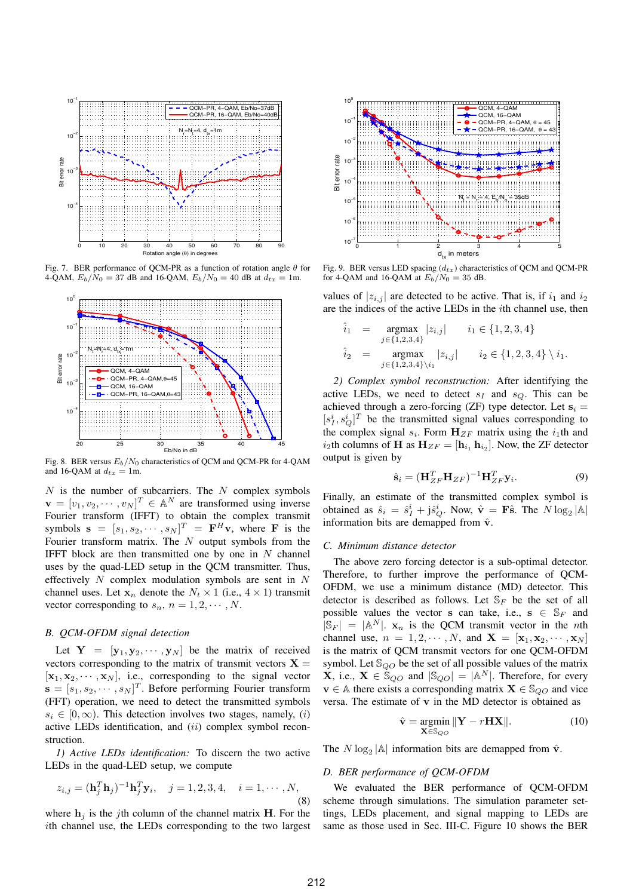

Fig. 7. BER performance of QCM-PR as a function of rotation angle  $\theta$  for 4-QAM,  $E_b/N_0 = 37$  dB and 16-QAM,  $E_b/N_0 = 40$  dB at  $d_{tx} = 1$ m.



Fig. 8. BER versus  $E_b/N_0$  characteristics of QCM and QCM-PR for 4-QAM and 16-QAM at  $d_{tx} = 1$ m.

 $N$  is the number of subcarriers. The  $N$  complex symbols  $\mathbf{v} = [v_1, v_2, \cdots, v_N]^T \in \mathbb{A}^N$  are transformed using inverse Fourier transform (IFFT) to obtain the complex transmit symbols  $\mathbf{s} = [s_1, s_2, \cdots, s_N]^T = \mathbf{F}^H \mathbf{v}$ , where **F** is the Fourier transform matrix. The  $N$  output symbols from the IFFT block are then transmitted one by one in  $N$  channel uses by the quad-LED setup in the QCM transmitter. Thus, effectively  $N$  complex modulation symbols are sent in  $N$ channel uses. Let  $x_n$  denote the  $N_t \times 1$  (i.e.,  $4 \times 1$ ) transmit vector corresponding to  $s_n$ ,  $n = 1, 2, \cdots, N$ .

# *B. QCM-OFDM signal detection*

Let  $Y = [y_1, y_2, \dots, y_N]$  be the matrix of received vectors corresponding to the matrix of transmit vectors  $X =$  $[\mathbf{x}_1, \mathbf{x}_2, \cdots, \mathbf{x}_N]$ , i.e., corresponding to the signal vector  $\mathbf{s} = [s_1, s_2, \cdots, s_N]^T$ . Before performing Fourier transform (FFT) operation, we need to detect the transmitted symbols  $s_i \in [0, \infty)$ . This detection involves two stages, namely, (i) active LEDs identification, and (ii) complex symbol reconstruction.

*1) Active LEDs identification:* To discern the two active LEDs in the quad-LED setup, we compute

$$
z_{i,j} = (\mathbf{h}_j^T \mathbf{h}_j)^{-1} \mathbf{h}_j^T \mathbf{y}_i, \quad j = 1, 2, 3, 4, \quad i = 1, \cdots, N,
$$
\n(8)

where  $h_i$  is the jth column of the channel matrix H. For the ith channel use, the LEDs corresponding to the two largest



Fig. 9. BER versus LED spacing  $(d_{tx})$  characteristics of QCM and QCM-PR for 4-QAM and 16-QAM at  $E_b/N_0 = 35$  dB.

values of  $|z_{i,j}|$  are detected to be active. That is, if  $i_1$  and  $i_2$ are the indices of the active LEDs in the ith channel use, then

$$
\hat{i}_1 = \operatorname*{argmax}_{j \in \{1,2,3,4\}} |z_{i,j}| \qquad i_1 \in \{1,2,3,4\}
$$
  

$$
\hat{i}_2 = \operatorname*{argmax}_{j \in \{1,2,3,4\}\setminus i_1} |z_{i,j}| \qquad i_2 \in \{1,2,3,4\} \setminus i_1.
$$

*2) Complex symbol reconstruction:* After identifying the active LEDs, we need to detect  $s_I$  and  $s_O$ . This can be achieved through a zero-forcing (ZF) type detector. Let  $s_i =$  $[s_I^i, s_Q^i]^T$  be the transmitted signal values corresponding to the complex signal  $s_i$ . Form  $\mathbf{H}_{ZF}$  matrix using the  $i_1$ th and  $i_2$ th columns of H as  $H_{ZF} = [\mathbf{h}_{i_1} \, \mathbf{h}_{i_2}].$  Now, the ZF detector output is given by

$$
\hat{\mathbf{s}}_i = (\mathbf{H}_{ZF}^T \mathbf{H}_{ZF})^{-1} \mathbf{H}_{ZF}^T \mathbf{y}_i.
$$
 (9)

Finally, an estimate of the transmitted complex symbol is obtained as  $\hat{s}_i = \hat{s}_I^i + j\hat{s}_Q^i$ . Now,  $\hat{\mathbf{v}} = \mathbf{F}\hat{\mathbf{s}}$ . The  $N \log_2 |\mathbb{A}|$ information bits are demapped from  $\hat{v}$ .

#### *C. Minimum distance detector*

The above zero forcing detector is a sub-optimal detector. Therefore, to further improve the performance of QCM-OFDM, we use a minimum distance (MD) detector. This detector is described as follows. Let  $\mathbb{S}_F$  be the set of all possible values the vector s can take, i.e.,  $s \in S_F$  and  $|\mathbb{S}_F| = |\mathbb{A}^N|$ .  $\mathbf{x}_n$  is the QCM transmit vector in the *n*th channel use,  $n = 1, 2, \cdots, N$ , and  $\mathbf{X} = [\mathbf{x}_1, \mathbf{x}_2, \cdots, \mathbf{x}_N]$ is the matrix of QCM transmit vectors for one QCM-OFDM symbol. Let  $\mathbb{S}_{QO}$  be the set of all possible values of the matrix **X**, i.e.,  $X \in \mathbb{S}_{QO}$  and  $|\mathbb{S}_{QO}| = |A^N|$ . Therefore, for every  $\mathbf{v} \in A$  there exists a corresponding matrix  $\mathbf{X} \in \mathbb{S}_{QO}$  and vice versa. The estimate of v in the MD detector is obtained as

$$
\hat{\mathbf{v}} = \underset{\mathbf{X} \in \mathbb{S}_{QQ}}{\operatorname{argmin}} \|\mathbf{Y} - r\mathbf{H}\mathbf{X}\|.
$$
 (10)

The  $N \log_2 |\mathbb{A}|$  information bits are demapped from  $\hat{\mathbf{v}}$ .

# *D. BER performance of QCM-OFDM*

We evaluated the BER performance of QCM-OFDM scheme through simulations. The simulation parameter settings, LEDs placement, and signal mapping to LEDs are same as those used in Sec. III-C. Figure 10 shows the BER